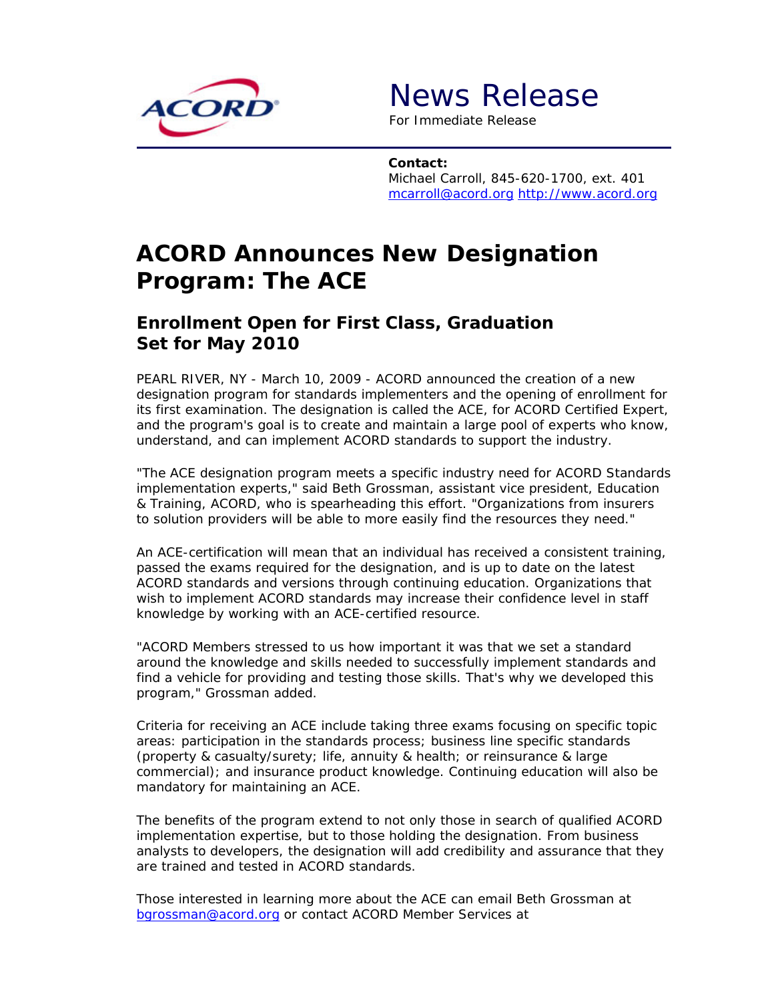

News Release

*For Immediate Release*

**Contact:** Michael Carroll, 845-620-1700, ext. 401 mcarroll@acord.org http://www.acord.org

## **ACORD Announces New Designation Program: The ACE**

## **Enrollment Open for First Class, Graduation Set for May 2010**

PEARL RIVER, NY - March 10, 2009 - ACORD announced the creation of a new designation program for standards implementers and the opening of enrollment for its first examination. The designation is called the ACE, for ACORD Certified Expert, and the program's goal is to create and maintain a large pool of experts who know, understand, and can implement ACORD standards to support the industry.

"The ACE designation program meets a specific industry need for ACORD Standards implementation experts," said Beth Grossman, assistant vice president, Education & Training, ACORD, who is spearheading this effort. "Organizations from insurers to solution providers will be able to more easily find the resources they need."

An ACE-certification will mean that an individual has received a consistent training, passed the exams required for the designation, and is up to date on the latest ACORD standards and versions through continuing education. Organizations that wish to implement ACORD standards may increase their confidence level in staff knowledge by working with an ACE-certified resource.

"ACORD Members stressed to us how important it was that we set a standard around the knowledge and skills needed to successfully implement standards and find a vehicle for providing and testing those skills. That's why we developed this program," Grossman added.

Criteria for receiving an ACE include taking three exams focusing on specific topic areas: participation in the standards process; business line specific standards (property & casualty/surety; life, annuity & health; or reinsurance & large commercial); and insurance product knowledge. Continuing education will also be mandatory for maintaining an ACE.

The benefits of the program extend to not only those in search of qualified ACORD implementation expertise, but to those holding the designation. From business analysts to developers, the designation will add credibility and assurance that they are trained and tested in ACORD standards.

Those interested in learning more about the ACE can email Beth Grossman at bgrossman@acord.org or contact ACORD Member Services at